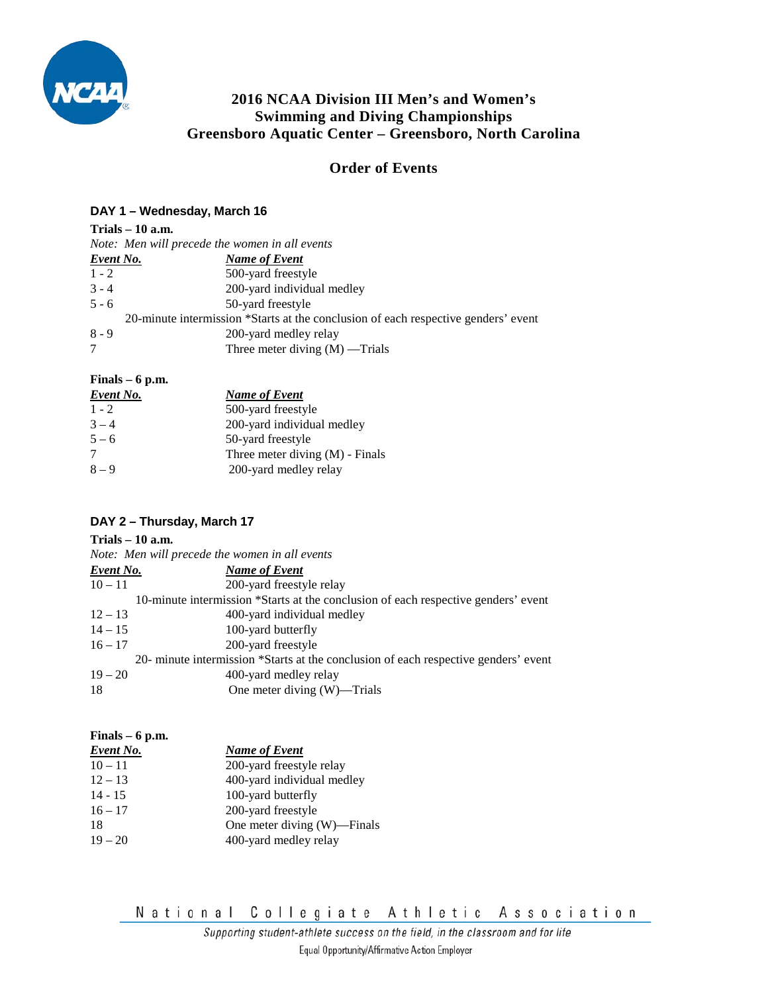

# **2016 NCAA Division III Men's and Women's Swimming and Diving Championships Greensboro Aquatic Center – Greensboro, North Carolina**

# **Order of Events**

### **DAY 1 – Wednesday, March 16**

## **Trials – 10 a.m.**  *Note: Men will precede the women in all events Event No. Name of Event* 1 - 2 500-yard freestyle 3 - 4 200-yard individual medley

| $5 - 6$ | 50-yard freestyle                                                                  |
|---------|------------------------------------------------------------------------------------|
|         | 20-minute intermission *Starts at the conclusion of each respective genders' event |
| $8 - 9$ | 200-yard medley relay                                                              |
|         | Three meter diving $(M)$ —Trials                                                   |

**Finals – 6 p.m.** 

| <u>Event No.</u> | <b>Name of Event</b>              |
|------------------|-----------------------------------|
| $1 - 2$          | 500-yard freestyle                |
| $3 - 4$          | 200-yard individual medley        |
| $5 - 6$          | 50-yard freestyle                 |
| 7                | Three meter diving $(M)$ - Finals |
| $8 - 9$          | 200-yard medley relay             |

## **DAY 2 – Thursday, March 17**

## **Trials – 10 a.m.**

|                  | Note: Men will precede the women in all events                                      |
|------------------|-------------------------------------------------------------------------------------|
| <b>Event No.</b> | <b>Name of Event</b>                                                                |
| $10 - 11$        | 200-yard freestyle relay                                                            |
|                  | 10-minute intermission *Starts at the conclusion of each respective genders' event  |
| $12 - 13$        | 400-yard individual medley                                                          |
| $14 - 15$        | 100-yard butterfly                                                                  |
| $16 - 17$        | 200-yard freestyle                                                                  |
|                  | 20- minute intermission *Starts at the conclusion of each respective genders' event |
| $19 - 20$        | 400-yard medley relay                                                               |
| 18               | One meter diving (W)—Trials                                                         |
|                  |                                                                                     |

### **Finals – 6 p.m.**

| <b>Event No.</b> | <b>Name of Event</b>        |
|------------------|-----------------------------|
| $10 - 11$        | 200-yard freestyle relay    |
| $12 - 13$        | 400-yard individual medley  |
| $14 - 15$        | 100-yard butterfly          |
| $16 - 17$        | 200-yard freestyle          |
| 18               | One meter diving (W)—Finals |
| $19 - 20$        | 400-yard medley relay       |
|                  |                             |

National Collegiate Athletic Association